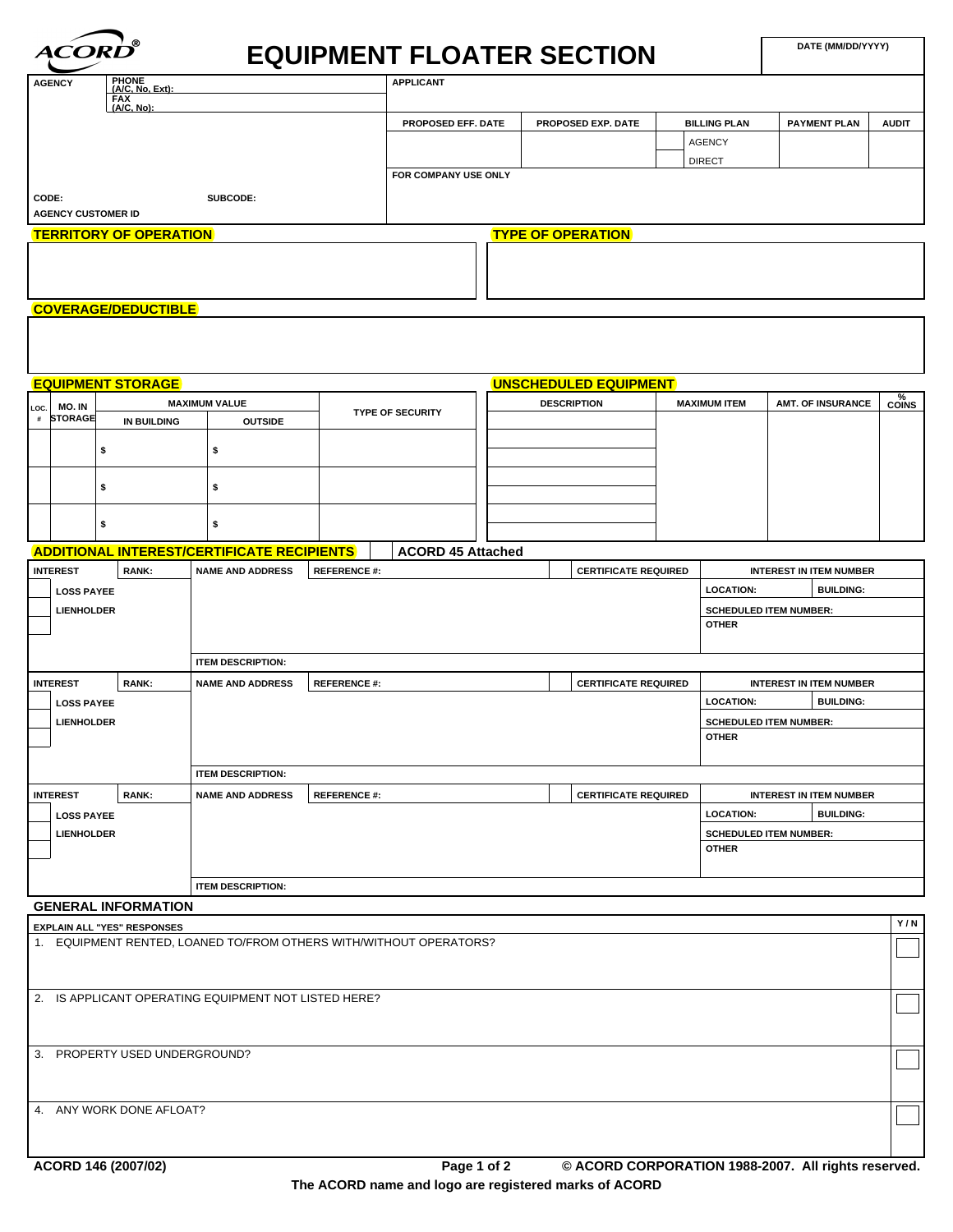| <i><b>ACORD</b></i>                    | O                                                                                |                                                                    |                    |                          |                              |  |                             |  |                     | DATE (MM/DD/YYYY)              |                          |                           |
|----------------------------------------|----------------------------------------------------------------------------------|--------------------------------------------------------------------|--------------------|--------------------------|------------------------------|--|-----------------------------|--|---------------------|--------------------------------|--------------------------|---------------------------|
| <b>AGENCY</b>                          | <b>EQUIPMENT FLOATER SECTION</b><br>PHONE<br>(A/C, No, Ext):<br><b>APPLICANT</b> |                                                                    |                    |                          |                              |  |                             |  |                     |                                |                          |                           |
|                                        | FAX<br>(A/C, No):                                                                |                                                                    |                    |                          |                              |  |                             |  |                     |                                |                          |                           |
|                                        |                                                                                  |                                                                    |                    | PROPOSED EFF. DATE       |                              |  | PROPOSED EXP. DATE          |  | <b>BILLING PLAN</b> | <b>PAYMENT PLAN</b>            |                          | <b>AUDIT</b>              |
|                                        |                                                                                  |                                                                    |                    |                          |                              |  |                             |  | <b>AGENCY</b>       |                                |                          |                           |
|                                        |                                                                                  |                                                                    |                    | FOR COMPANY USE ONLY     |                              |  |                             |  | <b>DIRECT</b>       |                                |                          |                           |
| CODE:                                  |                                                                                  | SUBCODE:                                                           |                    |                          |                              |  |                             |  |                     |                                |                          |                           |
| <b>AGENCY CUSTOMER ID</b>              |                                                                                  |                                                                    |                    |                          |                              |  |                             |  |                     |                                |                          |                           |
| <b>TERRITORY OF OPERATION</b>          |                                                                                  |                                                                    |                    |                          |                              |  | <b>TYPE OF OPERATION</b>    |  |                     |                                |                          |                           |
|                                        |                                                                                  |                                                                    |                    |                          |                              |  |                             |  |                     |                                |                          |                           |
|                                        |                                                                                  |                                                                    |                    |                          |                              |  |                             |  |                     |                                |                          |                           |
|                                        |                                                                                  |                                                                    |                    |                          |                              |  |                             |  |                     |                                |                          |                           |
| <b>COVERAGE/DEDUCTIBLE</b>             |                                                                                  |                                                                    |                    |                          |                              |  |                             |  |                     |                                |                          |                           |
|                                        |                                                                                  |                                                                    |                    |                          |                              |  |                             |  |                     |                                |                          |                           |
|                                        |                                                                                  |                                                                    |                    |                          |                              |  |                             |  |                     |                                |                          |                           |
|                                        | <b>EQUIPMENT STORAGE</b>                                                         |                                                                    |                    |                          | <b>UNSCHEDULED EQUIPMENT</b> |  |                             |  |                     |                                |                          |                           |
| MO. IN<br>LOC.                         |                                                                                  | <b>MAXIMUM VALUE</b>                                               |                    |                          |                              |  | <b>DESCRIPTION</b>          |  | <b>MAXIMUM ITEM</b> |                                | <b>AMT. OF INSURANCE</b> | $\frac{\%}{\text{Coins}}$ |
| # STORAGE                              | IN BUILDING                                                                      | <b>OUTSIDE</b>                                                     |                    | <b>TYPE OF SECURITY</b>  |                              |  |                             |  |                     |                                |                          |                           |
| \$                                     |                                                                                  | \$                                                                 |                    |                          |                              |  |                             |  |                     |                                |                          |                           |
|                                        |                                                                                  |                                                                    |                    |                          |                              |  |                             |  |                     |                                |                          |                           |
| \$                                     |                                                                                  | \$                                                                 |                    |                          |                              |  |                             |  |                     |                                |                          |                           |
|                                        |                                                                                  |                                                                    |                    |                          |                              |  |                             |  |                     |                                |                          |                           |
| \$                                     |                                                                                  | \$                                                                 |                    |                          |                              |  |                             |  |                     |                                |                          |                           |
|                                        |                                                                                  | <b>ADDITIONAL INTEREST/CERTIFICATE RECIPIENTS</b>                  |                    | <b>ACORD 45 Attached</b> |                              |  |                             |  |                     |                                |                          |                           |
| <b>INTEREST</b>                        | <b>RANK:</b>                                                                     | <b>NAME AND ADDRESS</b>                                            | <b>REFERENCE#:</b> |                          |                              |  | <b>CERTIFICATE REQUIRED</b> |  |                     | <b>INTEREST IN ITEM NUMBER</b> |                          |                           |
| <b>LOSS PAYEE</b>                      |                                                                                  |                                                                    |                    |                          |                              |  |                             |  | <b>LOCATION:</b>    |                                | <b>BUILDING:</b>         |                           |
| <b>LIENHOLDER</b>                      |                                                                                  |                                                                    |                    |                          |                              |  |                             |  |                     | <b>SCHEDULED ITEM NUMBER:</b>  |                          |                           |
|                                        |                                                                                  |                                                                    |                    |                          |                              |  |                             |  | <b>OTHER</b>        |                                |                          |                           |
|                                        |                                                                                  | <b>ITEM DESCRIPTION:</b>                                           |                    |                          |                              |  |                             |  |                     |                                |                          |                           |
| <b>INTEREST</b>                        | <b>RANK:</b>                                                                     | <b>NAME AND ADDRESS</b>                                            | <b>REFERENCE#:</b> |                          |                              |  | <b>CERTIFICATE REQUIRED</b> |  |                     | <b>INTEREST IN ITEM NUMBER</b> |                          |                           |
| <b>LOSS PAYEE</b>                      |                                                                                  |                                                                    |                    |                          |                              |  |                             |  | <b>LOCATION:</b>    |                                | <b>BUILDING:</b>         |                           |
| <b>LIENHOLDER</b>                      |                                                                                  |                                                                    |                    |                          |                              |  |                             |  |                     | <b>SCHEDULED ITEM NUMBER:</b>  |                          |                           |
|                                        |                                                                                  |                                                                    |                    |                          |                              |  |                             |  | <b>OTHER</b>        |                                |                          |                           |
|                                        |                                                                                  |                                                                    |                    |                          |                              |  |                             |  |                     |                                |                          |                           |
|                                        |                                                                                  | <b>ITEM DESCRIPTION:</b>                                           |                    |                          |                              |  |                             |  |                     |                                |                          |                           |
| <b>INTEREST</b>                        | <b>RANK:</b>                                                                     | <b>NAME AND ADDRESS</b>                                            | <b>REFERENCE#:</b> |                          |                              |  | <b>CERTIFICATE REQUIRED</b> |  |                     | <b>INTEREST IN ITEM NUMBER</b> | <b>BUILDING:</b>         |                           |
| <b>LOSS PAYEE</b><br><b>LIENHOLDER</b> |                                                                                  |                                                                    |                    |                          |                              |  |                             |  | <b>LOCATION:</b>    | <b>SCHEDULED ITEM NUMBER:</b>  |                          |                           |
|                                        |                                                                                  |                                                                    |                    |                          |                              |  |                             |  | <b>OTHER</b>        |                                |                          |                           |
|                                        |                                                                                  |                                                                    |                    |                          |                              |  |                             |  |                     |                                |                          |                           |
|                                        |                                                                                  | <b>ITEM DESCRIPTION:</b>                                           |                    |                          |                              |  |                             |  |                     |                                |                          |                           |
| <b>GENERAL INFORMATION</b>             |                                                                                  |                                                                    |                    |                          |                              |  |                             |  |                     |                                |                          |                           |
| <b>EXPLAIN ALL "YES" RESPONSES</b>     |                                                                                  |                                                                    |                    |                          |                              |  |                             |  |                     |                                |                          | Y/N                       |
|                                        |                                                                                  | 1. EQUIPMENT RENTED, LOANED TO/FROM OTHERS WITH/WITHOUT OPERATORS? |                    |                          |                              |  |                             |  |                     |                                |                          |                           |
|                                        |                                                                                  |                                                                    |                    |                          |                              |  |                             |  |                     |                                |                          |                           |
|                                        |                                                                                  | 2. IS APPLICANT OPERATING EQUIPMENT NOT LISTED HERE?               |                    |                          |                              |  |                             |  |                     |                                |                          |                           |
|                                        |                                                                                  |                                                                    |                    |                          |                              |  |                             |  |                     |                                |                          |                           |
|                                        |                                                                                  |                                                                    |                    |                          |                              |  |                             |  |                     |                                |                          |                           |
| 3. PROPERTY USED UNDERGROUND?          |                                                                                  |                                                                    |                    |                          |                              |  |                             |  |                     |                                |                          |                           |
|                                        |                                                                                  |                                                                    |                    |                          |                              |  |                             |  |                     |                                |                          |                           |
|                                        |                                                                                  |                                                                    |                    |                          |                              |  |                             |  |                     |                                |                          |                           |
| 4. ANY WORK DONE AFLOAT?               |                                                                                  |                                                                    |                    |                          |                              |  |                             |  |                     |                                |                          |                           |
|                                        |                                                                                  |                                                                    |                    |                          |                              |  |                             |  |                     |                                |                          |                           |
|                                        |                                                                                  |                                                                    |                    |                          |                              |  |                             |  |                     |                                |                          |                           |